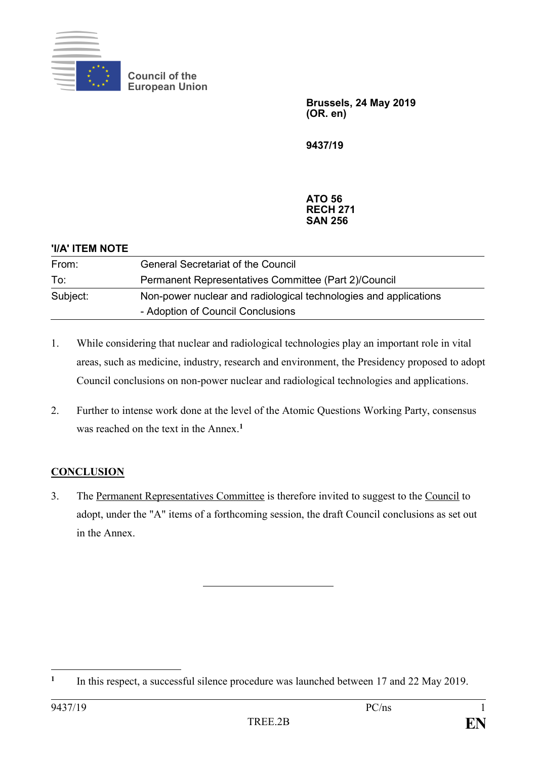

**Council of the European Union**

> **Brussels, 24 May 2019 (OR. en)**

**9437/19**

## **ATO 56 RECH 271 SAN 256**

| 'I/A' ITEM NOTE |                                                                  |
|-----------------|------------------------------------------------------------------|
| From:           | <b>General Secretariat of the Council</b>                        |
| To:             | Permanent Representatives Committee (Part 2)/Council             |
| Subject:        | Non-power nuclear and radiological technologies and applications |
|                 | - Adoption of Council Conclusions                                |

- 1. While considering that nuclear and radiological technologies play an important role in vital areas, such as medicine, industry, research and environment, the Presidency proposed to adopt Council conclusions on non-power nuclear and radiological technologies and applications.
- 2. Further to intense work done at the level of the Atomic Questions Working Party, consensus was reached on the text in the Annex.**<sup>1</sup>**

## **CONCLUSION**

3. The Permanent Representatives Committee is therefore invited to suggest to the Council to adopt, under the "A" items of a forthcoming session, the draft Council conclusions as set out in the Annex.

1

**<sup>1</sup>** In this respect, a successful silence procedure was launched between 17 and 22 May 2019.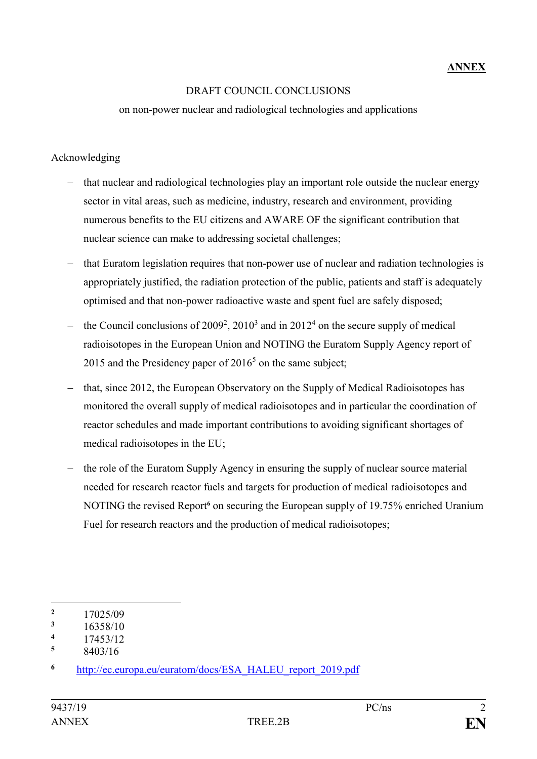## DRAFT COUNCIL CONCLUSIONS

on non-power nuclear and radiological technologies and applications

## Acknowledging

- ‒ that nuclear and radiological technologies play an important role outside the nuclear energy sector in vital areas, such as medicine, industry, research and environment, providing numerous benefits to the EU citizens and AWARE OF the significant contribution that nuclear science can make to addressing societal challenges;
- ‒ that Euratom legislation requires that non-power use of nuclear and radiation technologies is appropriately justified, the radiation protection of the public, patients and staff is adequately optimised and that non-power radioactive waste and spent fuel are safely disposed;
- the Council conclusions of  $2009^2$ ,  $2010^3$  and in  $2012^4$  on the secure supply of medical radioisotopes in the European Union and NOTING the Euratom Supply Agency report of 2015 and the Presidency paper of  $2016<sup>5</sup>$  on the same subject;
- that, since 2012, the European Observatory on the Supply of Medical Radioisotopes has monitored the overall supply of medical radioisotopes and in particular the coordination of reactor schedules and made important contributions to avoiding significant shortages of medical radioisotopes in the EU;
- the role of the Euratom Supply Agency in ensuring the supply of nuclear source material needed for research reactor fuels and targets for production of medical radioisotopes and NOTING the revised Report**<sup>6</sup>** on securing the European supply of 19.75% enriched Uranium Fuel for research reactors and the production of medical radioisotopes;

<sup>1</sup>  $\frac{2}{3}$  17025/09

 $\frac{3}{4}$  16358/10

 $\frac{4}{5}$  17453/12

**<sup>5</sup>** 8403/16

**<sup>6</sup>** [http://ec.europa.eu/euratom/docs/ESA\\_HALEU\\_report\\_2019.pdf](http://ec.europa.eu/euratom/docs/ESA_HALEU_report_2019.pdf)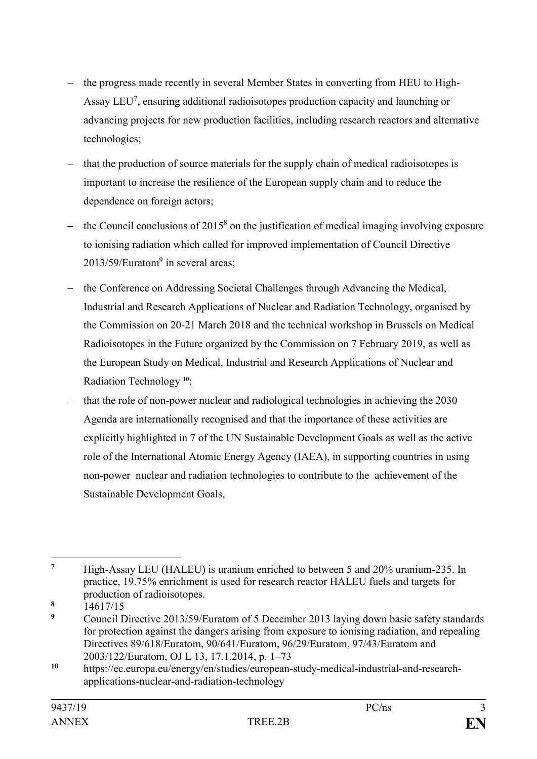- the progress made recently in several Member States in converting from HEU to High-Assay LEU<sup>7</sup>, ensuring additional radioisotopes production capacity and launching or advancing projects for new production facilities, including research reactors and alternative technologies;
- ‒ that the production of source materials for the supply chain of medical radioisotopes is important to increase the resilience of the European supply chain and to reduce the dependence on foreign actors;
- $-$  the Council conclusions of 2015<sup>8</sup> on the justification of medical imaging involving exposure to ionising radiation which called for improved implementation of Council Directive  $2013/59$ /Euratom<sup>9</sup> in several areas;
- ‒ the Conference on Addressing Societal Challenges through Advancing the Medical, Industrial and Research Applications of Nuclear and Radiation Technology, organised by the Commission on 20-21 March 2018 and the technical workshop in Brussels on Medical Radioisotopes in the Future organized by the Commission on 7 February 2019, as well as the European Study on Medical, Industrial and Research Applications of Nuclear and Radiation Technology **10**;
- that the role of non-power nuclear and radiological technologies in achieving the 2030 Agenda are internationally recognised and that the importance of these activities are explicitly highlighted in 7 of the UN Sustainable Development Goals as well as the active role of the International Atomic Energy Agency (IAEA), in supporting countries in using non-power nuclear and radiation technologies to contribute to the achievement of the Sustainable Development Goals,

 $\overline{7}$ **<sup>7</sup>** High-Assay LEU (HALEU) is uranium enriched to between 5 and 20% uranium-235. In practice, 19.75% enrichment is used for research reactor HALEU fuels and targets for production of radioisotopes.

 $\frac{8}{9}$  14617/15

**<sup>9</sup>** Council Directive 2013/59/Euratom of 5 December 2013 laying down basic safety standards for protection against the dangers arising from exposure to ionising radiation, and repealing Directives 89/618/Euratom, 90/641/Euratom, 96/29/Euratom, 97/43/Euratom and 2003/122/Euratom, OJ L 13, 17.1.2014, p. 1–73

**<sup>10</sup>** https://ec.europa.eu/energy/en/studies/european-study-medical-industrial-and-researchapplications-nuclear-and-radiation-technology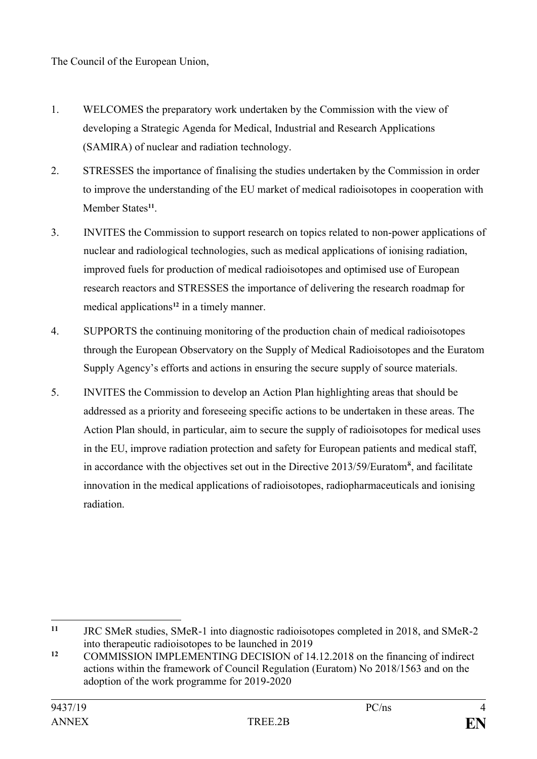The Council of the European Union,

- 1. WELCOMES the preparatory work undertaken by the Commission with the view of developing a Strategic Agenda for Medical, Industrial and Research Applications (SAMIRA) of nuclear and radiation technology.
- 2. STRESSES the importance of finalising the studies undertaken by the Commission in order to improve the understanding of the EU market of medical radioisotopes in cooperation with Member States**<sup>11</sup>** .
- 3. INVITES the Commission to support research on topics related to non-power applications of nuclear and radiological technologies, such as medical applications of ionising radiation, improved fuels for production of medical radioisotopes and optimised use of European research reactors and STRESSES the importance of delivering the research roadmap for medical applications**<sup>12</sup>** in a timely manner.
- 4. SUPPORTS the continuing monitoring of the production chain of medical radioisotopes through the European Observatory on the Supply of Medical Radioisotopes and the Euratom Supply Agency's efforts and actions in ensuring the secure supply of source materials.
- 5. INVITES the Commission to develop an Action Plan highlighting areas that should be addressed as a priority and foreseeing specific actions to be undertaken in these areas. The Action Plan should, in particular, aim to secure the supply of radioisotopes for medical uses in the EU, improve radiation protection and safety for European patients and medical staff, in accordance with the objectives set out in the Directive 2013/59/Euratom<sup>8</sup>, and facilitate innovation in the medical applications of radioisotopes, radiopharmaceuticals and ionising radiation.

 $11$ **<sup>11</sup>** JRC SMeR studies, SMeR-1 into diagnostic radioisotopes completed in 2018, and SMeR-2 into therapeutic radioisotopes to be launched in 2019

<sup>&</sup>lt;sup>12</sup> COMMISSION IMPLEMENTING DECISION of 14.12.2018 on the financing of indirect actions within the framework of Council Regulation (Euratom) No 2018/1563 and on the adoption of the work programme for 2019-2020